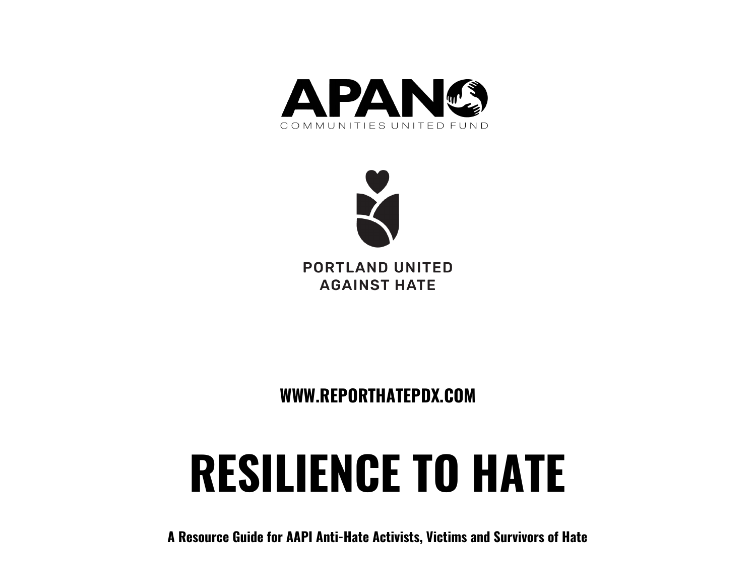



**PORTLAND UNITED AGAINST HATE** 

**WWW.REPORTHATEPDX.COM**

# **RESILIENCE TO HATE**

**A Resource Guide for AAPI Anti-Hate Activists, Victims and Survivors of Hate**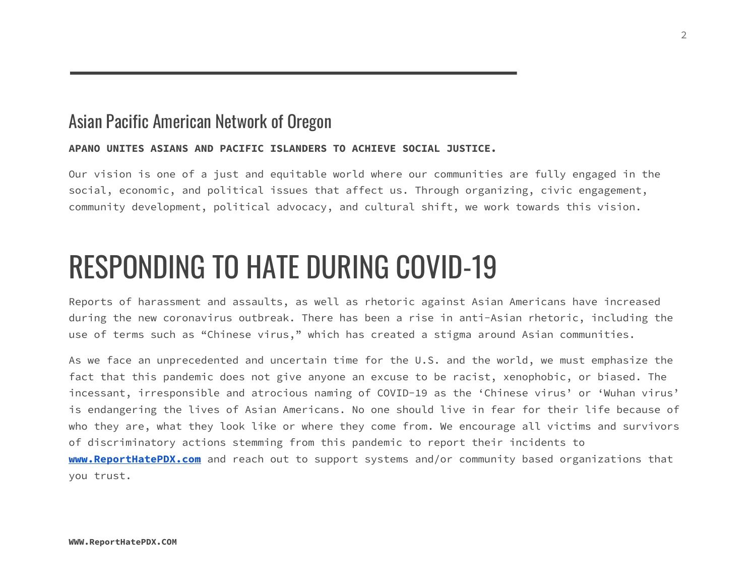### Asian Pacific American Network of Oregon

### **APANO UNITES ASIANS AND PACIFIC ISLANDERS TO ACHIEVE SOCIAL JUSTICE.**

Our vision is one of a just and equitable world where our communities are fully engaged in the social, economic, and political issues that affect us. Through organizing, civic engagement, community development, political advocacy, and cultural shift, we work towards this vision.

# RESPONDING TO HATE DURING COVID-19

Reports of harassment and assaults, as well as rhetoric against Asian Americans have increased during the new coronavirus outbreak. There has been a rise in anti-Asian rhetoric, including the use of terms such as "Chinese virus," which has created a stigma around Asian communities.

As we face an unprecedented and uncertain time for the U.S. and the world, we must emphasize the fact that this pandemic does not give anyone an excuse to be racist, xenophobic, or biased. The incessant, irresponsible and atrocious naming of COVID-19 as the 'Chinese virus' or 'Wuhan virus' is endangering the lives of Asian Americans. No one should live in fear for their life because of who they are, what they look like or where they come from. We encourage all victims and survivors of discriminatory actions stemming from this pandemic to report their incidents to **[www.ReportHatePDX.com](http://www.reporthatepdx.com/)** and reach out to support systems and/or community based organizations that you trust.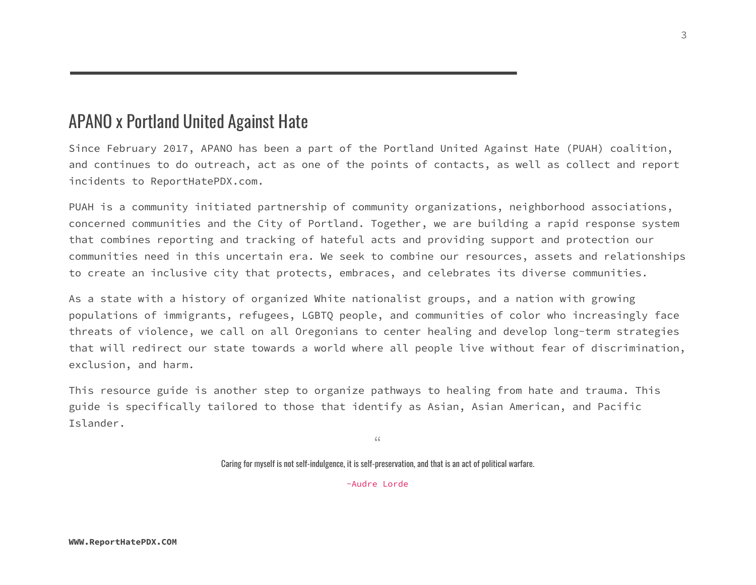# APANO x Portland United Against Hate

Since February 2017, APANO has been a part of the Portland United Against Hate (PUAH) coalition, and continues to do outreach, act as one of the points of contacts, as well as collect and report incidents to ReportHatePDX.com.

PUAH is a community initiated partnership of community organizations, neighborhood associations, concerned communities and the City of Portland. Together, we are building a rapid response system that combines reporting and tracking of hateful acts and providing support and protection our communities need in this uncertain era. We seek to combine our resources, assets and relationships to create an inclusive city that protects, embraces, and celebrates its diverse communities.

As a state with a history of organized White nationalist groups, and a nation with growing populations of immigrants, refugees, LGBTQ people, and communities of color who increasingly face threats of violence, we call on all Oregonians to center healing and develop long-term strategies that will redirect our state towards a world where all people live without fear of discrimination, exclusion, and harm.

This resource guide is another step to organize pathways to healing from hate and trauma. This guide is specifically tailored to those that identify as Asian, Asian American, and Pacific Islander.

"

Caring for myself is not self-indulgence, it is self-preservation, and that is an act of political warfare.

-Audre Lorde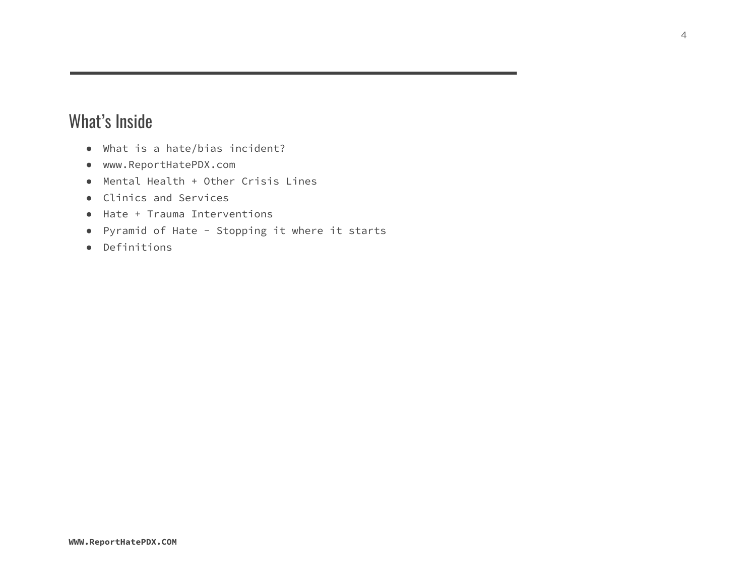# What's Inside

- What is a hate/bias incident?
- www.ReportHatePDX.com
- Mental Health + Other Crisis Lines
- Clinics and Services
- Hate + Trauma Interventions
- Pyramid of Hate Stopping it where it starts
- Definitions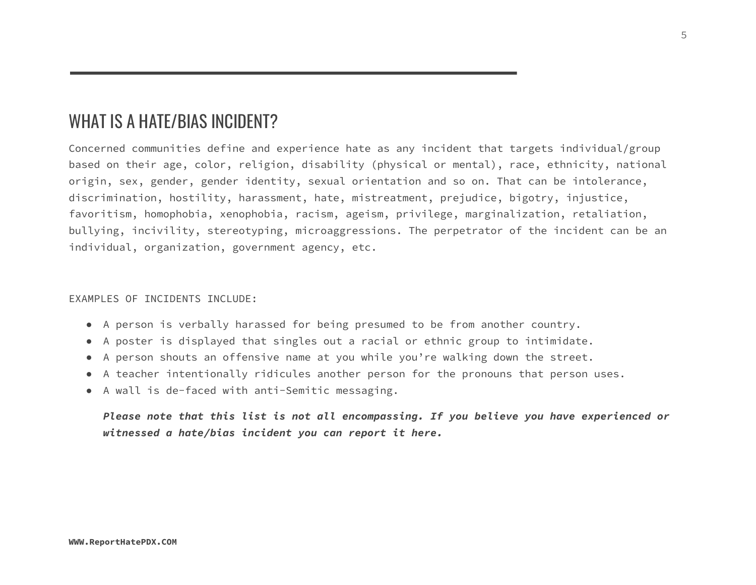# WHAT IS A HATE/BIAS INCIDENT?

Concerned communities define and experience hate as any incident that targets individual/group based on their age, color, religion, disability (physical or mental), race, ethnicity, national origin, sex, gender, gender identity, sexual orientation and so on. That can be intolerance, discrimination, hostility, harassment, hate, mistreatment, prejudice, bigotry, injustice, favoritism, homophobia, xenophobia, racism, ageism, privilege, marginalization, retaliation, bullying, incivility, stereotyping, microaggressions. The perpetrator of the incident can be an individual, organization, government agency, etc.

### EXAMPLES OF INCIDENTS INCLUDE:

- A person is verbally harassed for being presumed to be from another country.
- A poster is displayed that singles out a racial or ethnic group to intimidate.
- A person shouts an offensive name at you while you're walking down the street.
- A teacher intentionally ridicules another person for the pronouns that person uses.
- A wall is de-faced with anti-Semitic messaging.

*Please note that this list is not all encompassing. If you believe you have experienced or witnessed a hate/bias incident you can report it here.*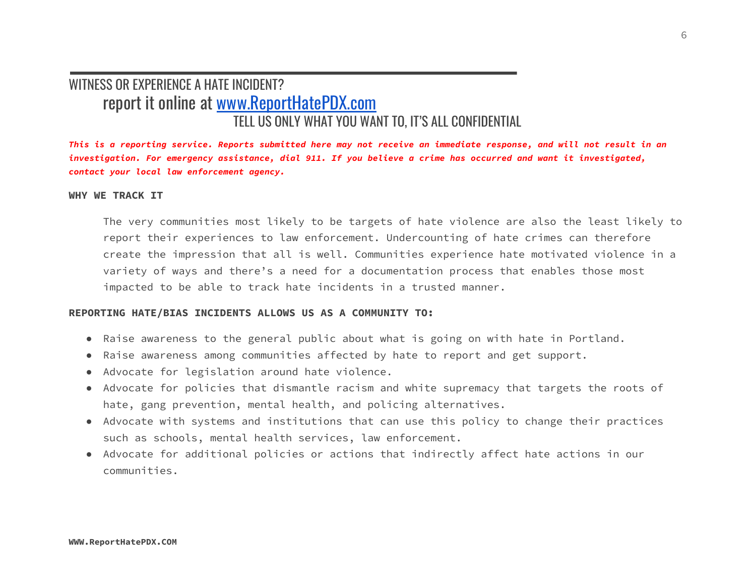### WITNESS OR EXPERIENCE A HATE INCIDENT? report it online at [www.ReportHatePDX.com](http://www.reporthatepdx.com/) TELL US ONLY WHAT YOU WANT TO, IT'S ALL CONFIDENTIAL

This is a reporting service. Reports submitted here may not receive an immediate response, and will not result in an investigation. For emergency assistance, dial 911. If you believe a crime has occurred and want it investigated, *contact your local law enforcement agency.*

### **WHY WE TRACK IT**

The very communities most likely to be targets of hate violence are also the least likely to report their experiences to law enforcement. Undercounting of hate crimes can therefore create the impression that all is well. Communities experience hate motivated violence in a variety of ways and there's a need for a documentation process that enables those most impacted to be able to track hate incidents in a trusted manner.

### **REPORTING HATE/BIAS INCIDENTS ALLOWS US AS A COMMUNITY TO:**

- Raise awareness to the general public about what is going on with hate in Portland.
- Raise awareness among communities affected by hate to report and get support.
- Advocate for legislation around hate violence.
- Advocate for policies that dismantle racism and white supremacy that targets the roots of hate, gang prevention, mental health, and policing alternatives.
- Advocate with systems and institutions that can use this policy to change their practices such as schools, mental health services, law enforcement.
- Advocate for additional policies or actions that indirectly affect hate actions in our communities.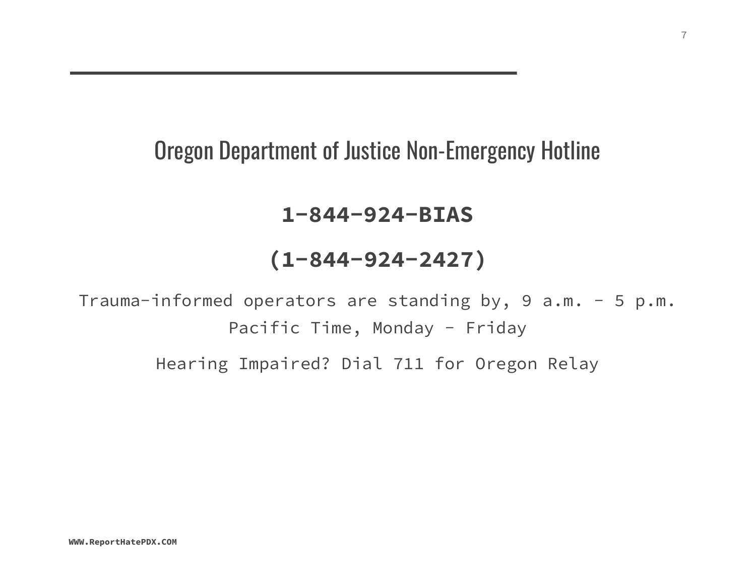# Oregon Department of Justice Non-Emergency Hotline

# **1-844-924-BIAS**

# **(1-844-924-2427)**

Trauma-informed operators are standing by, 9 a.m. - 5 p.m. Pacific Time, Monday - Friday

Hearing Impaired? Dial 711 for Oregon Relay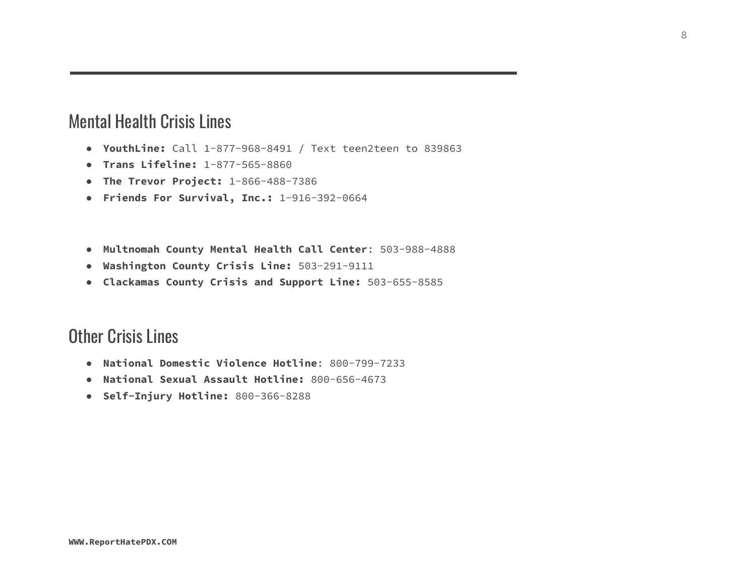# Mental Health Crisis Lines

- **YouthLine:** Call 1-877-968-8491 / Text teen2teen to 839863
- **● Trans Lifeline:** 1-877-565-8860
- **● The Trevor Project:** 1-866-488-7386
- **● Friends For Survival, Inc.:** 1-916-392-0664
- **Multnomah County Mental Health Call Center**: 503-988-4888
- **Washington County Crisis Line:** 503-291-9111
- **Clackamas County Crisis and Support Line:** 503-655-8585

# Other Crisis Lines

- **National Domestic Violence Hotline**: 800-799-7233
- **National Sexual Assault Hotline:** 800-656-4673
- **Self-Injury Hotline:** 800-366-8288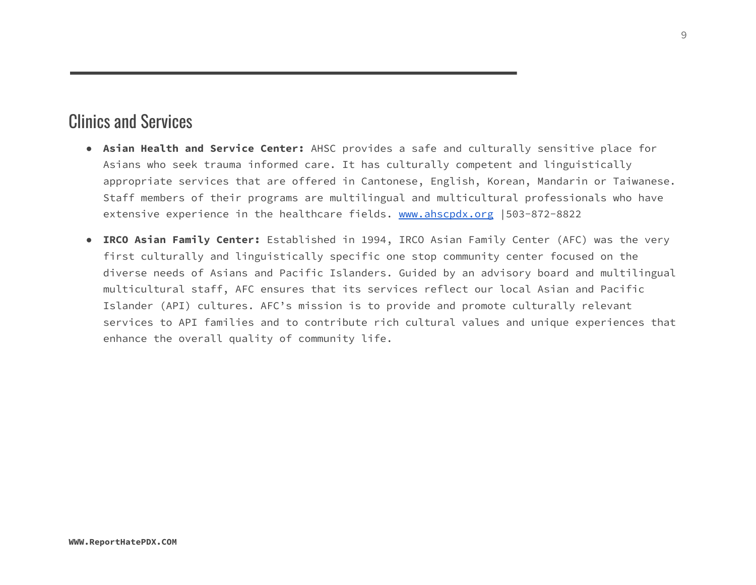# Clinics and Services

- **Asian Health and Service Center:** AHSC provides a safe and culturally sensitive place for Asians who seek trauma informed care. It has culturally competent and linguistically appropriate services that are offered in Cantonese, English, Korean, Mandarin or Taiwanese. Staff members of their programs are multilingual and multicultural professionals who have extensive experience in the healthcare fields. [www.ahscpdx.org](http://www.ahscpdx.org/) | 503-872-8822
- **IRCO Asian Family Center:** Established in 1994, IRCO Asian Family Center (AFC) was the very first culturally and linguistically specific one stop community center focused on the diverse needs of Asians and Pacific Islanders. Guided by an advisory board and multilingual multicultural staff, AFC ensures that its services reflect our local Asian and Pacific Islander (API) cultures. AFC's mission is to provide and promote culturally relevant services to API families and to contribute rich cultural values and unique experiences that enhance the overall quality of community life.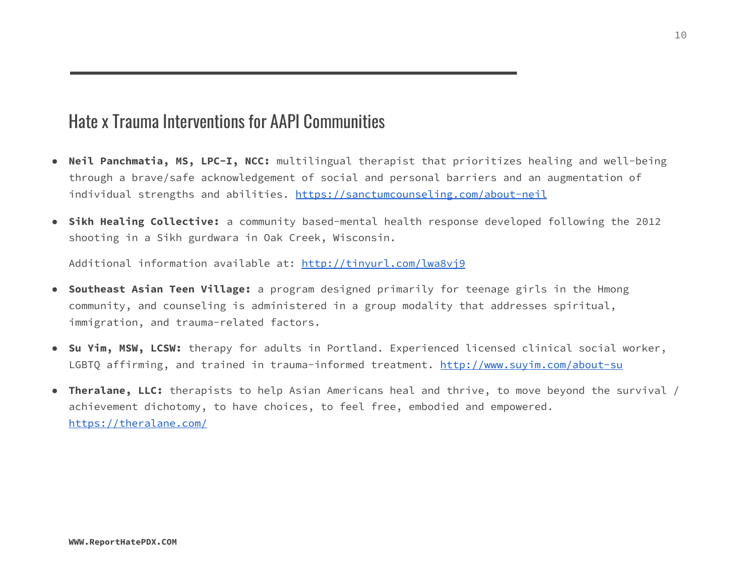# Hate x Trauma Interventions for AAPI Communities

- **Neil Panchmatia, MS, LPC-I, NCC:** multilingual therapist that prioritizes healing and well-being through a brave/safe acknowledgement of social and personal barriers and an augmentation of individual strengths and abilities. <https://sanctumcounseling.com/about-neil>
- **Sikh Healing Collective:** a community based-mental health response developed following the 2012 shooting in a Sikh gurdwara in Oak Creek, Wisconsin.

Additional information available at: <http://tinyurl.com/lwa8vj9>

- **Southeast Asian Teen Village:** a program designed primarily for teenage girls in the Hmong community, and counseling is administered in a group modality that addresses spiritual, immigration, and trauma-related factors.
- **Su Yim, MSW, LCSW:** therapy for adults in Portland. Experienced licensed clinical social worker, LGBTQ affirming, and trained in trauma-informed treatment. <http://www.suyim.com/about-su>
- **● Theralane, LLC:** therapists to help Asian Americans heal and thrive, to move beyond the survival / achievement dichotomy, to have choices, to feel free, embodied and empowered. <https://theralane.com/>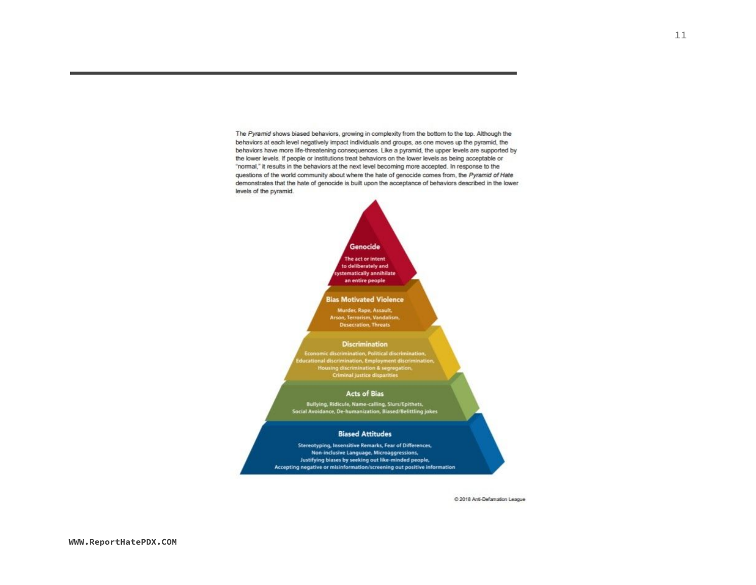The Pyramid shows biased behaviors, growing in complexity from the bottom to the top. Although the behaviors at each level negatively impact individuals and groups, as one moves up the pyramid, the behaviors have more life-threatening consequences. Like a pyramid, the upper levels are supported by the lower levels. If people or institutions treat behaviors on the lower levels as being acceptable or "normal," it results in the behaviors at the next level becoming more accepted. In response to the questions of the world community about where the hate of genocide comes from, the Pyramid of Hate demonstrates that the hate of genocide is built upon the acceptance of behaviors described in the lower levels of the pyramid.

### Genocide

The act or intent to deliberately and tematically annihilate an entire people

#### **Bias Motivated Violence**

Murder, Rape, Assault, Arson, Terrorism, Vandalism, **Desecration, Threats** 

#### **Discrimination**

Economic discrimination, Political discrimination, Housing discrimination & segregation.<br>Criminal justice disparities

#### **Acts of Bias**

Bullying, Ridicule, Name-calling, Slurs/Epithets,<br>Social Avoidance, De-humanization, Biased/Belittling jokes

### **Biased Attitudes**

Stereotyping, Insensitive Remarks, Fear of Differences, Non-inclusive Language, Microaggressions, Justifying biases by seeking out like-minded people, Accepting negative or misinformation/screening out positive information

@ 2018 Anti-Defamation League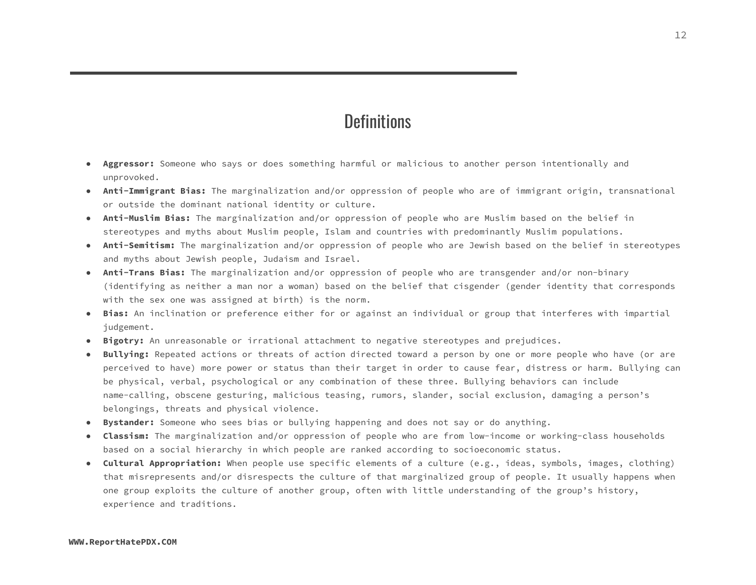### **Definitions**

- **Aggressor:** Someone who says or does something harmful or malicious to another person intentionally and unprovoked.
- **Anti-Immigrant Bias:** The marginalization and/or oppression of people who are of immigrant origin, transnational or outside the dominant national identity or culture.
- **● Anti-Muslim Bias:** The marginalization and/or oppression of people who are Muslim based on the belief in stereotypes and myths about Muslim people, Islam and countries with predominantly Muslim populations.
- **Anti-Semitism:** The marginalization and/or oppression of people who are Jewish based on the belief in stereotypes and myths about Jewish people, Judaism and Israel.
- **Anti-Trans Bias:** The marginalization and/or oppression of people who are transgender and/or non-binary (identifying as neither a man nor a woman) based on the belief that cisgender (gender identity that corresponds with the sex one was assigned at birth) is the norm.
- **Bias:** An inclination or preference either for or against an individual or group that interferes with impartial judgement.
- **● Bigotry:** An unreasonable or irrational attachment to negative stereotypes and prejudices.
- **● Bullying:** Repeated actions or threats of action directed toward a person by one or more people who have (or are perceived to have) more power or status than their target in order to cause fear, distress or harm. Bullying can be physical, verbal, psychological or any combination of these three. Bullying behaviors can include name-calling, obscene gesturing, malicious teasing, rumors, slander, social exclusion, damaging a person's belongings, threats and physical violence.
- **● Bystander:** Someone who sees bias or bullying happening and does not say or do anything.
- **Classism:** The marginalization and/or oppression of people who are from low-income or working-class households based on a social hierarchy in which people are ranked according to socioeconomic status.
- **Cultural Appropriation:** When people use specific elements of a culture (e.g., ideas, symbols, images, clothing) that misrepresents and/or disrespects the culture of that marginalized group of people. It usually happens when one group exploits the culture of another group, often with little understanding of the group's history, experience and traditions.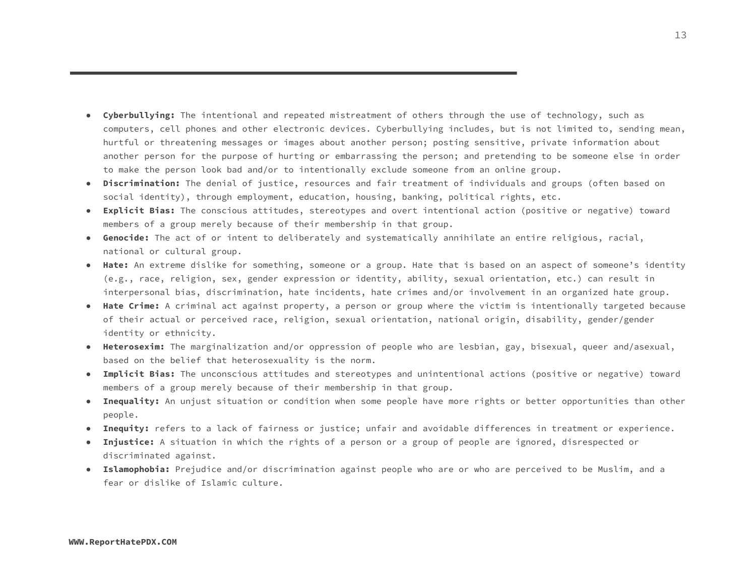- **Cyberbullying:** The intentional and repeated mistreatment of others through the use of technology, such as computers, cell phones and other electronic devices. Cyberbullying includes, but is not limited to, sending mean, hurtful or threatening messages or images about another person; posting sensitive, private information about another person for the purpose of hurting or embarrassing the person; and pretending to be someone else in order to make the person look bad and/or to intentionally exclude someone from an online group.
- **● Discrimination:** The denial of justice, resources and fair treatment of individuals and groups (often based on social identity), through employment, education, housing, banking, political rights, etc.
- **● Explicit Bias:** The conscious attitudes, stereotypes and overt intentional action (positive or negative) toward members of a group merely because of their membership in that group.
- **Genocide:** The act of or intent to deliberately and systematically annihilate an entire religious, racial, national or cultural group.
- **Hate:** An extreme dislike for something, someone or a group. Hate that is based on an aspect of someone's identity (e.g., race, religion, sex, gender expression or identity, ability, sexual orientation, etc.) can result in interpersonal bias, discrimination, hate incidents, hate crimes and/or involvement in an organized hate group.
- **Hate Crime:** A criminal act against property, a person or group where the victim is intentionally targeted because of their actual or perceived race, religion, sexual orientation, national origin, disability, gender/gender identity or ethnicity.
- **Heterosexim:** The marginalization and/or oppression of people who are lesbian, gay, bisexual, queer and/asexual, based on the belief that heterosexuality is the norm.
- **Implicit Bias:** The unconscious attitudes and stereotypes and unintentional actions (positive or negative) toward members of a group merely because of their membership in that group.
- **Inequality:** An unjust situation or condition when some people have more rights or better opportunities than other people.
- **Inequity:** refers to a lack of fairness or justice; unfair and avoidable differences in treatment or experience.
- **● Injustice:** A situation in which the rights of a person or a group of people are ignored, disrespected or discriminated against.
- **Islamophobia:** Prejudice and/or discrimination against people who are or who are perceived to be Muslim, and a fear or dislike of Islamic culture.